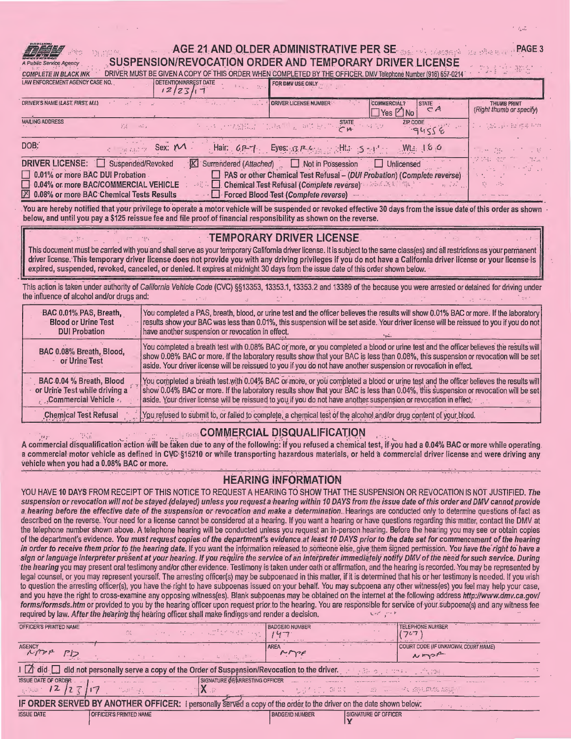a White Co

in the

## AGE 21 AND OLDER ADMINISTRATIVE PER SE SALE AND SUPPORT AND THE ADMINISTRATIVE PER SE SUSPENSION/REVOCATION ORDER AND TEMPORARY DRIVER LICENSE

高加工。 DRIVER MUST BE GIVEN A COPY OF THIS ORDER WHEN COMPLETED BY THE OFFICER. DMV Telephone Number (916) 657-0214 **COMPLETE IN BLACK INK** LAW ENFORCEMENT AGENCY CASE NO. DETENTION/ARREST DATE FOR DMV USE ONLY  $12/23/17$ DRIVER'S NAME (LAST, FIRST, M.I.) **ORIVER LICENSE NUMBER COMMERCIAL?** THUMB PRINT **STATE**  $C$  $A$ (Right thumb or specify)  $\Box$  Yes  $\Box$  No **MAILING ADDRESS STATE ZIP CODE** tat .ph is ma wh 在 434 (939) ABSD2 计算线图 一块顶 脱工作 35. indis.

|                                 | and the state of the state of the state of the    | - 2010년 1월 1일 : 1월 1일 1월 1일 1월 1일 1월 1일 1월 1일 1월 1일 1월 1일 1월 1일 1월 1일 1월 1일 1월 1일 1월 1일 1월 1일 1월 1일 1월 1일 1월 1 | $-94556$ | コントリー オンスター エス・ステーション アイディー |                      |
|---------------------------------|---------------------------------------------------|----------------------------------------------------------------------------------------------------------------|----------|-----------------------------|----------------------|
| DOB:                            | BEARTH SEX: MA                                    | Hair: 6P-7 Eyes: 3P-6 Settle 5-4 Min 16.0                                                                      |          | (「 」の 「は」 ()                | $\sim 10^{-1}$       |
|                                 | DRIVER LICENSE: C Suspended/Revoked               |                                                                                                                |          | 10월 12일 - 2011              | Martin C<br>i ma'lum |
| 0.01% or more BAC DUI Probation |                                                   | $\Box$ PAS or other Chemical Test Refusal - (DUI Probation) (Complete reverse)                                 |          |                             |                      |
|                                 | 0.04% or more BAC/COMMERCIAL VEHICLE              |                                                                                                                |          | 真 一時                        |                      |
|                                 | <b>2 0.08% or more BAC Chemical Tests Results</b> | - Forced Blood Test (Complete reverse) - -                                                                     |          |                             |                      |

. You are hereby notified that your privilege to operate a motor vehicle will be suspended or revoked effective 30 days from the issue date of this order as shown below, and until you pay a \$125 reissue fee and file proof of financial responsibility as shown on the reverse.

## **TEMPORARY DRIVER LICENSE**

This document must be carried with you and shall serve as your temporary California driver license. It is subject to the same class(es) and all restrictions as your permanent driver license. This temporary driver license does not provide you with any driving privileges if you do not have a California driver license or your license is expired, suspended, revoked, canceled, or denied. It expires at midnight 30 days from the issue date of this order shown below.

This action is taken under authority of California Vehicle Code (CVC) §§13353, 13353.1, 13353.2 and 13389 of the because you were arrested or detained for driving under the influence of alcohol and/or drugs and:

| BAC 0.01% PAS, Breath,                    | You completed a PAS, breath, blood, or urine test and the officer believes the results will show 0.01% BAC or more. If the laboratory                                                                                                                                                                                                                                                           |
|-------------------------------------------|-------------------------------------------------------------------------------------------------------------------------------------------------------------------------------------------------------------------------------------------------------------------------------------------------------------------------------------------------------------------------------------------------|
| <b>Blood or Urine Test</b>                | results show your BAC was less than 0.01%, this suspension will be set aside. Your driver license will be reissued to you if you do not                                                                                                                                                                                                                                                         |
| <b>DUI Probation</b>                      | have another suspension or revocation in effect.                                                                                                                                                                                                                                                                                                                                                |
| BAC 0.08% Breath, Blood,<br>or Urine Test | You completed a breath test with 0.08% BAC or more, or you completed a blood or urine test and the officer believes the results will<br>show 0.08% BAC or more. If the laboratory results show that your BAC is less than 0.08%, this suspension or revocation will be set<br>aside. Your driver license will be reissued to you if you do not have another suspension or revocation in effect. |
| BAC 0.04 % Breath, Blood                  | You completed a breath test with 0.04% BAC or more, or you completed a blood or urine test and the officer believes the results will                                                                                                                                                                                                                                                            |
| or Urine Test while driving a             | show 0.04% BAC or more. If the laboratory results show that your BAC is less than 0.04%, this suspension or revocation will be set                                                                                                                                                                                                                                                              |
| "Commercial Vehicle »,                    | aside. Your driver license will be reissued to you if you do not have another suspension or revocation in effect.                                                                                                                                                                                                                                                                               |
| <b>Chemical Test Refusal</b>              | You refused to submit to, or failed to complete, a chemical test of the alcohol and/or drug content of your blood.                                                                                                                                                                                                                                                                              |

# **LORGICOMMERCIAL DISQUALIFICATION**

A commercial disqualification action will be taken due to any of the following: if you refused a chemical test, if you had a 0.04% BAC or more while operating a commercial motor vehicle as defined in CVC §15210 or while transporting hazardous materials, or held a commercial driver license and were driving any vehicle when you had a 0.08% BAC or more.

# **HEARING INFORMATION**

YOU HAVE 10 DAYS FROM RECEIPT OF THIS NOTICE TO REQUEST A HEARING TO SHOW THAT THE SUSPENSION OR REVOCATION IS NOT JUSTIFIED, The suspension or revocation will not be stayed (delayed) unless you request a hearing within 10 DAYS from the issue date of this order and DMV cannot provide a hearing before the effective date of the suspension or revocation and make a determination. Hearings are conducted only to determine questions of fact as described on the reverse. Your need for a license cannot be considered at a hearing. If you want a hearing or have questions regarding this matter, contact the DMV at the telephone number shown above. A telephone hearing will be conducted unless you request an in-person hearing. Before the hearing you may see or obtain copies of the department's evidence. You must request copies of the department's evidence at least 10 DAYS prior to the date set for commencement of the hearing in order to receive them prior to the hearing date. If you want the information released to someone else, give them signed permission. You have the right to have a sign or language interpreter present at your hearing. If you require the service of an interpreter immediately notify DMV of the need for such service. During the hearing you may present oral testimony and/or other evidence. Testimony is taken under oath or affirmation, and the hearing is recorded. You may be represented by legal counsel, or you may represent yourself. The arresting officer(s) may be subpoenaed in this matter, if it is determined that his or her testimony is needed. If you wish to question the arresting officer(s), you have the right to have subpoenas issued on your behalf. You may subpoena any other witness(es) you feel may help your case, and you have the right to cross-examine any opposing witness(es). Blank subpoenas may be obtained on the internet at the following address http://www.dmv.ca.gov/ forms/formsds.htm or provided to you by the hearing officer upon request prior to the hearing. You are responsible for service of your subpoena(s) and any witness fee required by law. After the hearing the hearing officer shall make findings and render a decision.

| OFFICER'S PRINTED NAME                                                                                                                                                                                                                                                                                                                               | Gt.                           |  | $\mathcal{L}^{\mathcal{A}}(\mathcal{L}^{\mathcal{A}}(\mathcal{L}^{\mathcal{A}}(\mathcal{L}^{\mathcal{A}}(\mathcal{L}^{\mathcal{A}}(\mathcal{L}^{\mathcal{A}}(\mathcal{L}^{\mathcal{A}}(\mathcal{L}^{\mathcal{A}}(\mathcal{L}^{\mathcal{A}}(\mathcal{L}^{\mathcal{A}}))))))$ | <b>BADGE/ID NUMBER</b><br><b>Participants</b>                                                                                                                                                     |                                               | <b>TELEPHONE NUMBER</b><br>つしつ              |  |  |  |
|------------------------------------------------------------------------------------------------------------------------------------------------------------------------------------------------------------------------------------------------------------------------------------------------------------------------------------------------------|-------------------------------|--|-----------------------------------------------------------------------------------------------------------------------------------------------------------------------------------------------------------------------------------------------------------------------------|---------------------------------------------------------------------------------------------------------------------------------------------------------------------------------------------------|-----------------------------------------------|---------------------------------------------|--|--|--|
| $\cdots \cdots \cdots \cdots$<br><b>AGENCY</b><br>a pp.                                                                                                                                                                                                                                                                                              |                               |  |                                                                                                                                                                                                                                                                             | <b>AREA</b><br>more                                                                                                                                                                               | <b>Contract Contract of Contract Contract</b> | COURT CODE (IF UNKNOWN, COURT NAME)<br>NASA |  |  |  |
|                                                                                                                                                                                                                                                                                                                                                      |                               |  |                                                                                                                                                                                                                                                                             | $\textsf{H} \not\supseteq$ did $\textsf{H}$ did not personally serve a copy of the Order of Suspension/Revocation to the driver. The serve of $\mathbb{R}^n$ of $\mathbb{R}^n$ and $\mathbb{R}^n$ |                                               |                                             |  |  |  |
| <b>ISSUE DATE OF ORDER</b><br>$\frac{1}{2}$ (2 $\frac{1}{2}$ $\frac{1}{2}$ $\frac{1}{2}$ $\frac{1}{2}$ $\frac{1}{2}$ $\frac{1}{2}$ $\frac{1}{2}$ $\frac{1}{2}$ $\frac{1}{2}$ $\frac{1}{2}$ $\frac{1}{2}$ $\frac{1}{2}$ $\frac{1}{2}$ $\frac{1}{2}$ $\frac{1}{2}$ $\frac{1}{2}$ $\frac{1}{2}$ $\frac{1}{2}$ $\frac{1}{2}$ $\frac{1}{2}$ $\frac{1}{2}$ | / 的过去分词 / 17                  |  | SIGNATURE OF ARRESTING OFFICER<br>17. . P                                                                                                                                                                                                                                   |                                                                                                                                                                                                   |                                               | ↓ 「行程有限」創業に「」「遊」に「三字は銀砲動艇 超越平               |  |  |  |
| IF ORDER SERVED BY ANOTHER OFFICER: I personally served a copy of the order to the driver on the date shown below:<br>and the company of the com-                                                                                                                                                                                                    |                               |  |                                                                                                                                                                                                                                                                             |                                                                                                                                                                                                   |                                               |                                             |  |  |  |
| <b>ISSUE DATE</b>                                                                                                                                                                                                                                                                                                                                    | <b>OFFICER'S PRINTED NAME</b> |  |                                                                                                                                                                                                                                                                             | <b>BADGE/ID NUMBER</b>                                                                                                                                                                            | <b>SIGNATURE OF OFFICER</b>                   |                                             |  |  |  |

PAGE<sub>3</sub>